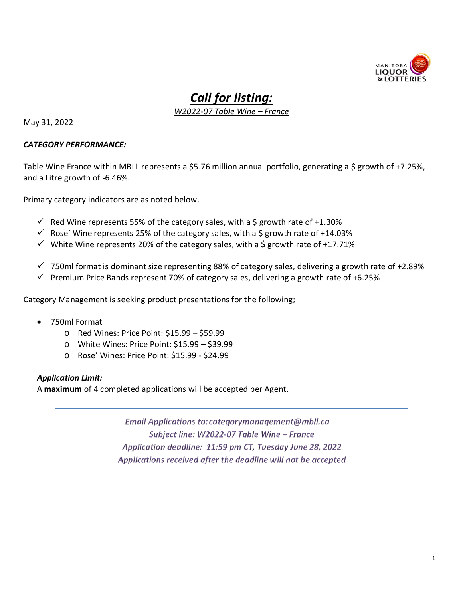

# *Call for listing:*

*W2022-07 Table Wine – France*

May 31, 2022

#### *CATEGORY PERFORMANCE:*

Table Wine France within MBLL represents a \$5.76 million annual portfolio, generating a \$ growth of +7.25%, and a Litre growth of -6.46%.

Primary category indicators are as noted below.

- $\checkmark$  Red Wine represents 55% of the category sales, with a \$ growth rate of +1.30%
- $\checkmark$  Rose' Wine represents 25% of the category sales, with a \$ growth rate of +14.03%
- $\checkmark$  White Wine represents 20% of the category sales, with a \$ growth rate of +17.71%
- $\checkmark$  750ml format is dominant size representing 88% of category sales, delivering a growth rate of +2.89%
- $\checkmark$  Premium Price Bands represent 70% of category sales, delivering a growth rate of +6.25%

Category Management is seeking product presentations for the following;

- 750ml Format
	- o Red Wines: Price Point: \$15.99 \$59.99
	- o White Wines: Price Point: \$15.99 \$39.99
	- o Rose' Wines: Price Point: \$15.99 \$24.99

### *Application Limit:*

A **maximum** of 4 completed applications will be accepted per Agent.

Email Applications to: categorymanagement@mbll.ca Subject line: W2022-07 Table Wine - France Application deadline: 11:59 pm CT, Tuesday June 28, 2022 Applications received after the deadline will not be accepted